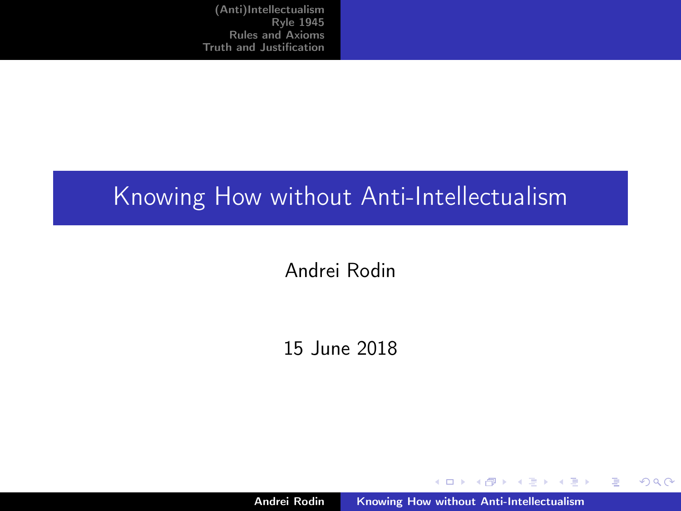### <span id="page-0-0"></span>Knowing How without Anti-Intellectualism

#### Andrei Rodin

#### 15 June 2018

Andrei Rodin [Knowing How without Anti-Intellectualism](#page-22-0)

イロメ イ部メ イヨメ イヨメ

重

 $2Q$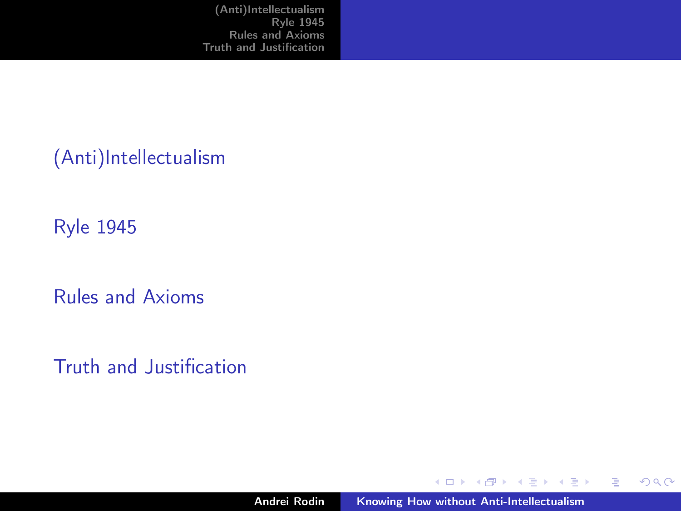[\(Anti\)Intellectualism](#page-2-0)

[Ryle 1945](#page-5-0)

[Rules and Axioms](#page-12-0)

[Truth and Justification](#page-16-0)

イロメ イ部メ イヨメ イヨメ

重

 $298$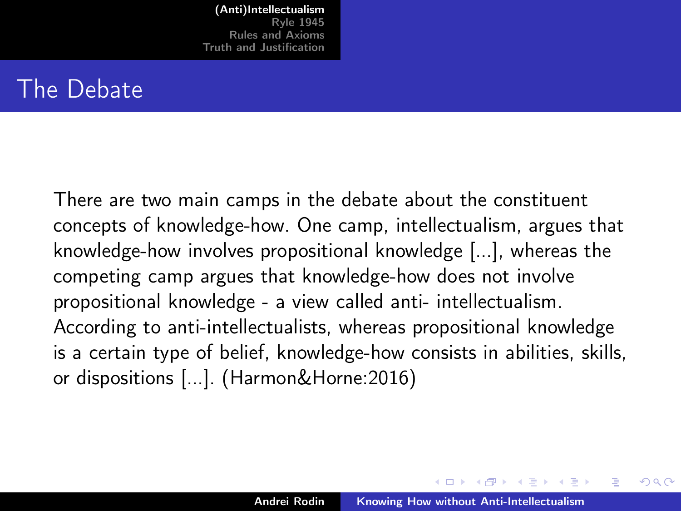#### <span id="page-2-0"></span>The Debate

There are two main camps in the debate about the constituent concepts of knowledge-how. One camp, intellectualism, argues that knowledge-how involves propositional knowledge [...], whereas the competing camp argues that knowledge-how does not involve propositional knowledge - a view called anti- intellectualism. According to anti-intellectualists, whereas propositional knowledge is a certain type of belief, knowledge-how consists in abilities, skills, or dispositions [...]. (Harmon&Horne:2016)

 $4.51 \times 1.71 \times 1.71$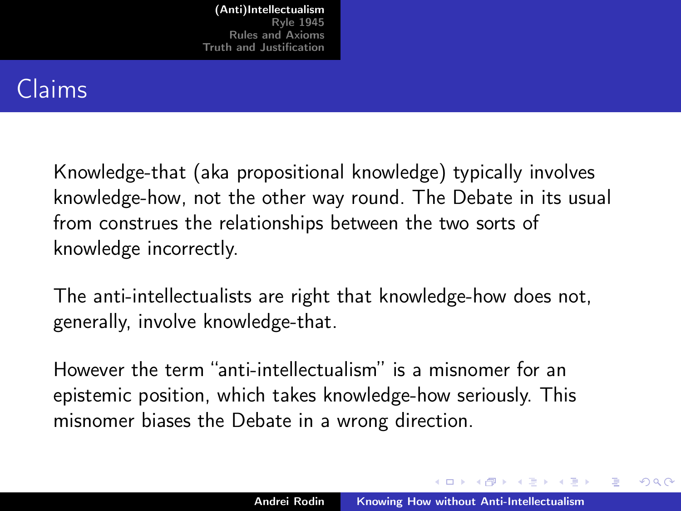# Claims

Knowledge-that (aka propositional knowledge) typically involves knowledge-how, not the other way round. The Debate in its usual from construes the relationships between the two sorts of knowledge incorrectly.

The anti-intellectualists are right that knowledge-how does not, generally, involve knowledge-that.

However the term "anti-intellectualism" is a misnomer for an epistemic position, which takes knowledge-how seriously. This misnomer biases the Debate in a wrong direction.

マーター マーティング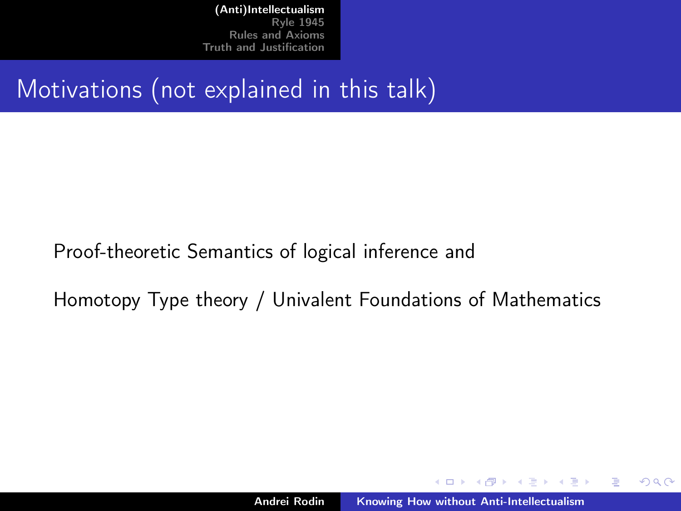Motivations (not explained in this talk)

Proof-theoretic Semantics of logical inference and

Homotopy Type theory / Univalent Foundations of Mathematics

4 0 1

 $4.50 \times 4.70 \times 4.70 \times$ 

 $2Q$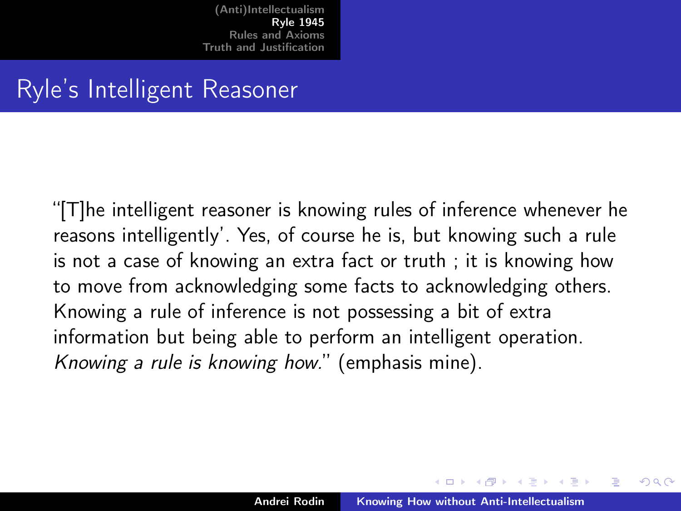### <span id="page-5-0"></span>Ryle's Intelligent Reasoner

"[T]he intelligent reasoner is knowing rules of inference whenever he reasons intelligently'. Yes, of course he is, but knowing such a rule is not a case of knowing an extra fact or truth ; it is knowing how to move from acknowledging some facts to acknowledging others. Knowing a rule of inference is not possessing a bit of extra information but being able to perform an intelligent operation. Knowing a rule is knowing how." (emphasis mine).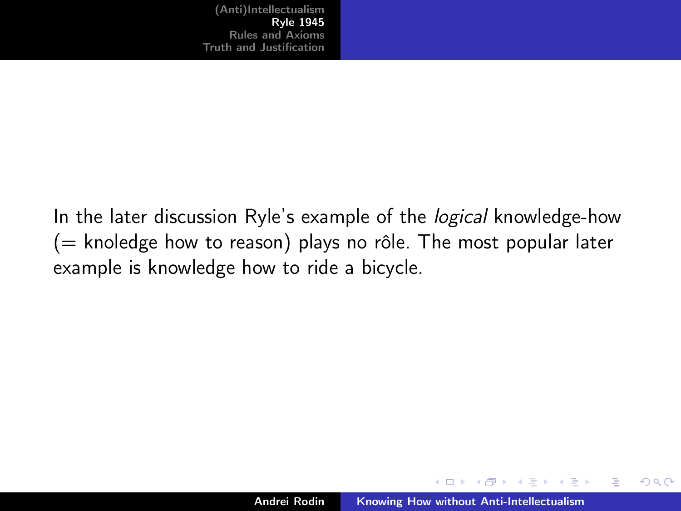In the later discussion Ryle's example of the *logical* knowledge-how  $($  = knoledge how to reason) plays no rôle. The most popular later example is knowledge how to ride a bicycle.

4 0 1

 $4.51 \times 1.71 \times 1.71$ 

 $2Q$ 

∍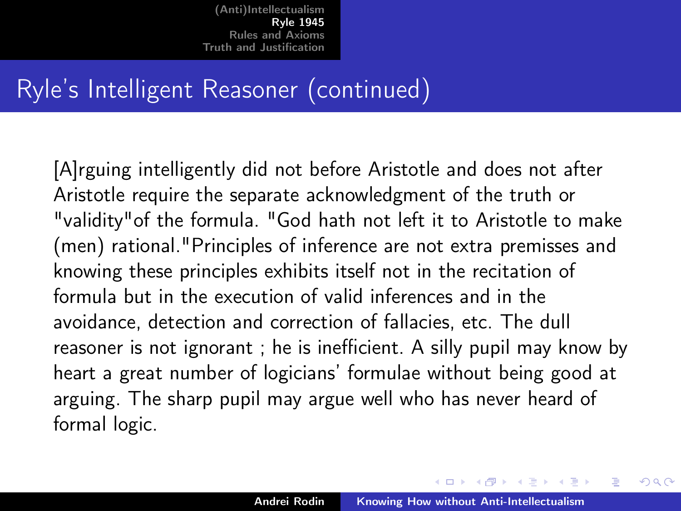## Ryle's Intelligent Reasoner (continued)

[A]rguing intelligently did not before Aristotle and does not after Aristotle require the separate acknowledgment of the truth or "validity"of the formula. "God hath not left it to Aristotle to make (men) rational."Principles of inference are not extra premisses and knowing these principles exhibits itself not in the recitation of formula but in the execution of valid inferences and in the avoidance, detection and correction of fallacies, etc. The dull reasoner is not ignorant ; he is inefficient. A silly pupil may know by heart a great number of logicians' formulae without being good at arguing. The sharp pupil may argue well who has never heard of formal logic.

イロメ マ母 トラ ミトラ オラメ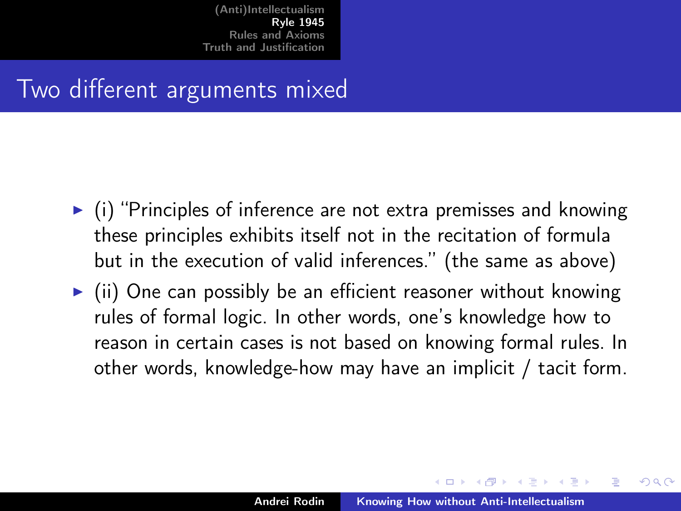### Two different arguments mixed

- $\triangleright$  (i) "Principles of inference are not extra premisses and knowing these principles exhibits itself not in the recitation of formula but in the execution of valid inferences." (the same as above)
- $\triangleright$  (ii) One can possibly be an efficient reasoner without knowing rules of formal logic. In other words, one's knowledge how to reason in certain cases is not based on knowing formal rules. In other words, knowledge-how may have an implicit / tacit form.

 $4.51 \times 1.71 \times 1.71$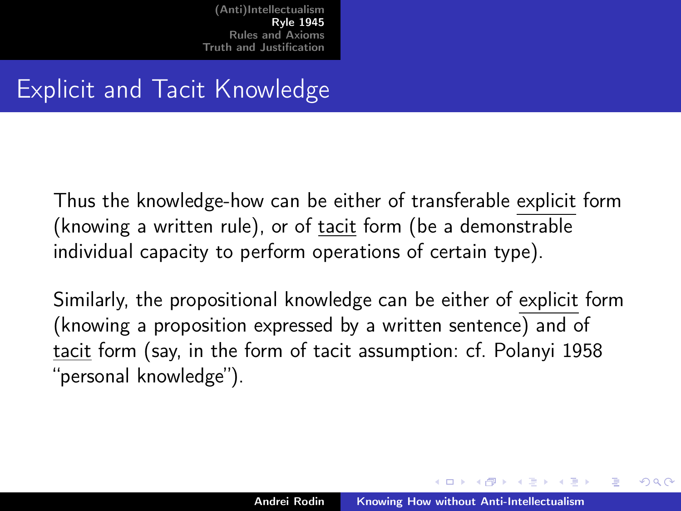## Explicit and Tacit Knowledge

Thus the knowledge-how can be either of transferable explicit form (knowing a written rule), or of tacit form (be a demonstrable individual capacity to perform operations of certain type).

Similarly, the propositional knowledge can be either of explicit form (knowing a proposition expressed by a written sentence) and of tacit form (say, in the form of tacit assumption: cf. Polanyi 1958 "personal knowledge").

 $4.51 \times 1.71 \times 1.71$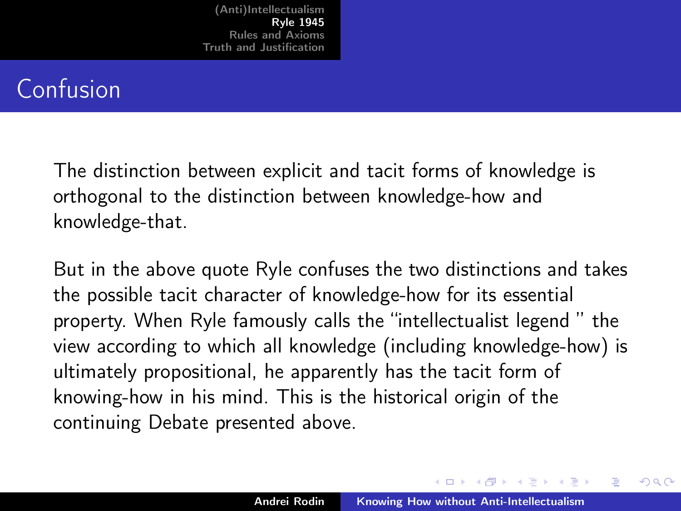## Confusion

The distinction between explicit and tacit forms of knowledge is orthogonal to the distinction between knowledge-how and knowledge-that.

But in the above quote Ryle confuses the two distinctions and takes the possible tacit character of knowledge-how for its essential property. When Ryle famously calls the "intellectualist legend " the view according to which all knowledge (including knowledge-how) is ultimately propositional, he apparently has the tacit form of knowing-how in his mind. This is the historical origin of the continuing Debate presented above.

 $A \oplus B$  and  $A \oplus B$  and  $A \oplus B$  and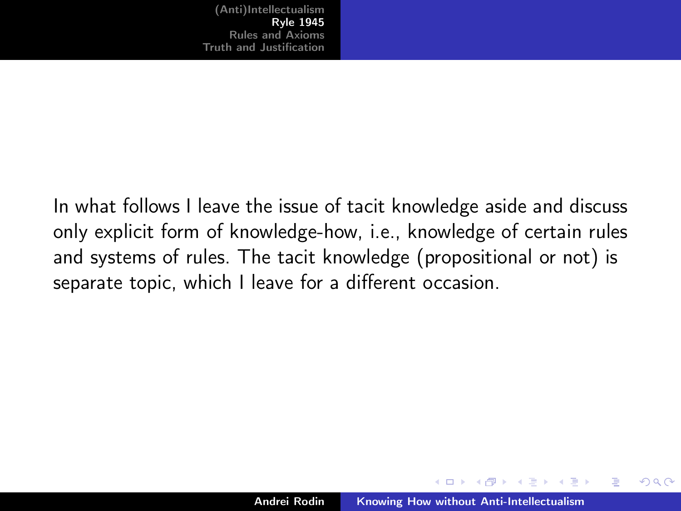In what follows I leave the issue of tacit knowledge aside and discuss only explicit form of knowledge-how, i.e., knowledge of certain rules and systems of rules. The tacit knowledge (propositional or not) is separate topic, which I leave for a different occasion.

 $4.51 \times 1.71 \times 1.71$ 

 $\Omega$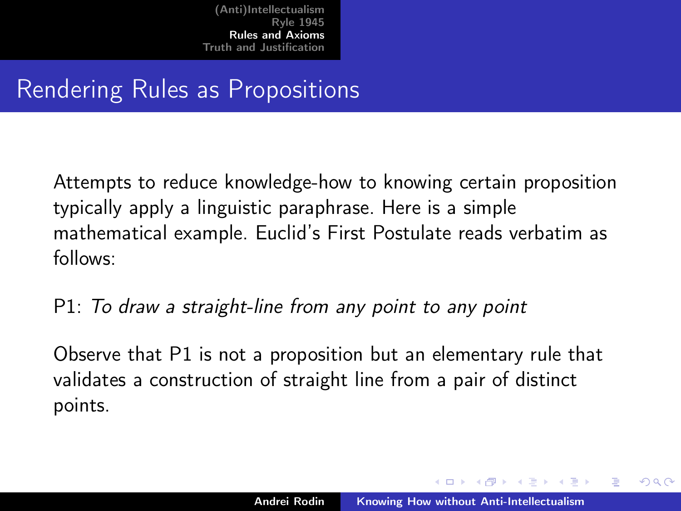## <span id="page-12-0"></span>Rendering Rules as Propositions

Attempts to reduce knowledge-how to knowing certain proposition typically apply a linguistic paraphrase. Here is a simple mathematical example. Euclid's First Postulate reads verbatim as follows:

P1: To draw a straight-line from any point to any point

Observe that P1 is not a proposition but an elementary rule that validates a construction of straight line from a pair of distinct points.

イロメ マ母 トラ ミトラ オラメ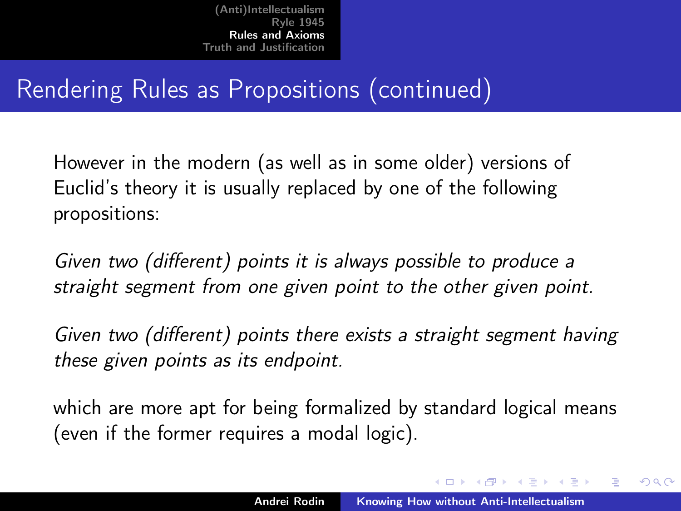# Rendering Rules as Propositions (continued)

However in the modern (as well as in some older) versions of Euclid's theory it is usually replaced by one of the following propositions:

Given two (different) points it is always possible to produce a straight segment from one given point to the other given point.

Given two (different) points there exists a straight segment having these given points as its endpoint.

which are more apt for being formalized by standard logical means (even if the former requires a modal logic).

イロメ イタメ イラメ イラメ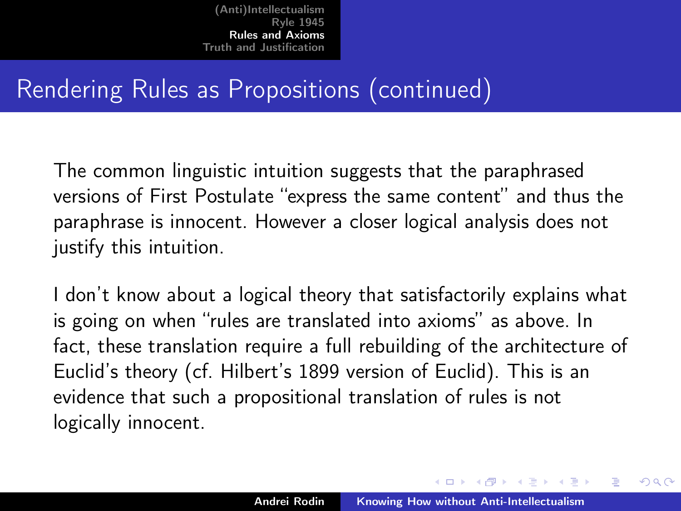# Rendering Rules as Propositions (continued)

The common linguistic intuition suggests that the paraphrased versions of First Postulate "express the same content" and thus the paraphrase is innocent. However a closer logical analysis does not justify this intuition.

I don't know about a logical theory that satisfactorily explains what is going on when "rules are translated into axioms" as above. In fact, these translation require a full rebuilding of the architecture of Euclid's theory (cf. Hilbert's 1899 version of Euclid). This is an evidence that such a propositional translation of rules is not logically innocent.

イロメ イタメ イラメ イラメ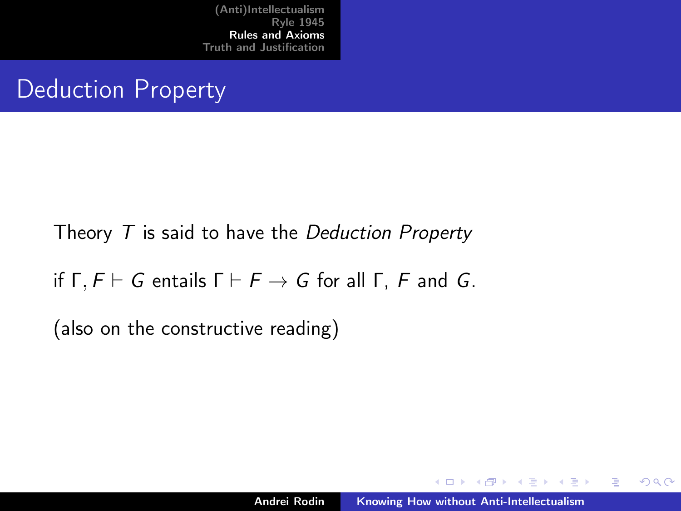# Deduction Property

#### Theory  $T$  is said to have the Deduction Property

if  $\Gamma$ ,  $F \vdash G$  entails  $\Gamma \vdash F \rightarrow G$  for all  $\Gamma$ , F and G.

(also on the constructive reading)

イロメ マ母 トラ ミュート

 $2Q$ 

э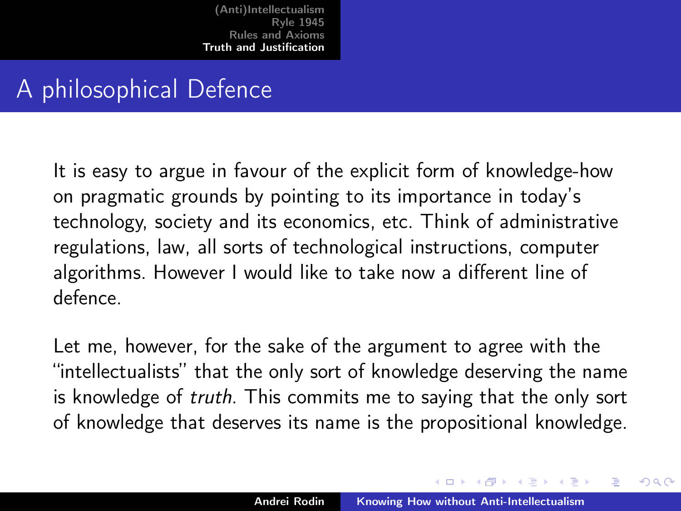## <span id="page-16-0"></span>A philosophical Defence

It is easy to argue in favour of the explicit form of knowledge-how on pragmatic grounds by pointing to its importance in today's technology, society and its economics, etc. Think of administrative regulations, law, all sorts of technological instructions, computer algorithms. However I would like to take now a different line of defence.

Let me, however, for the sake of the argument to agree with the "intellectualists" that the only sort of knowledge deserving the name is knowledge of truth. This commits me to saying that the only sort of knowledge that deserves its name is the propositional knowledge.

イロメ マ母 トラ ミトラ オラメ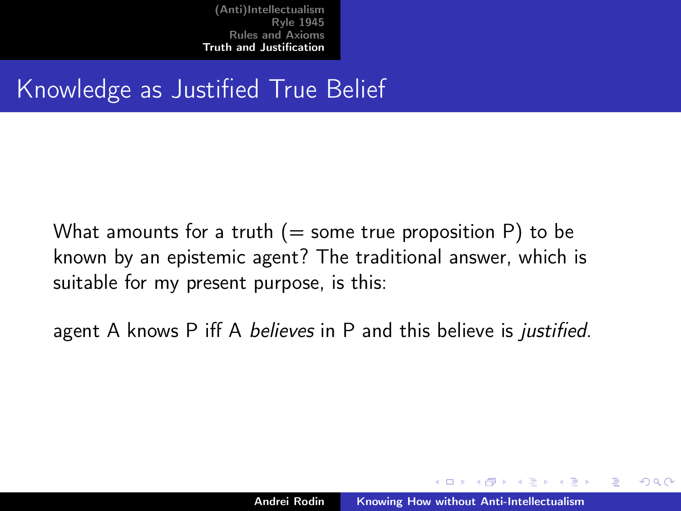# Knowledge as Justified True Belief

What amounts for a truth  $(=$  some true proposition P) to be known by an epistemic agent? The traditional answer, which is suitable for my present purpose, is this:

agent A knows P iff A *believes* in P and this believe is *justified*.

 $4.51 \times 1.71 \times 1.71$ 

 $\Omega$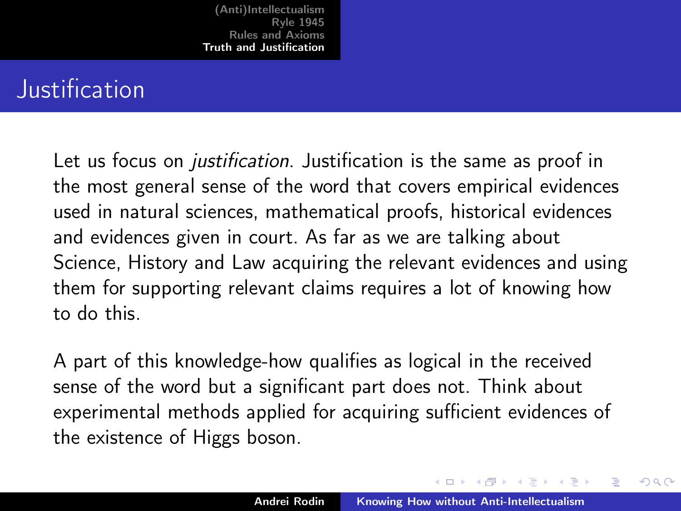### <span id="page-18-0"></span>**Justification**

Let us focus on *justification*. Justification is the same as proof in the most general sense of the word that covers empirical evidences used in natural sciences, mathematical proofs, historical evidences and evidences given in court. As far as we are talking about Science, History and Law acquiring the relevant evidences and using them for supporting relevant claims requires a lot of knowing how to do this.

A part of this knowledge-how qualifies as logical in the received sense of the word but a significant part does not. Think about experimental methods applied for acquiring sufficient evidences of the existence of Higgs boson.

イロメ マ母 トラ ミトラ オラメ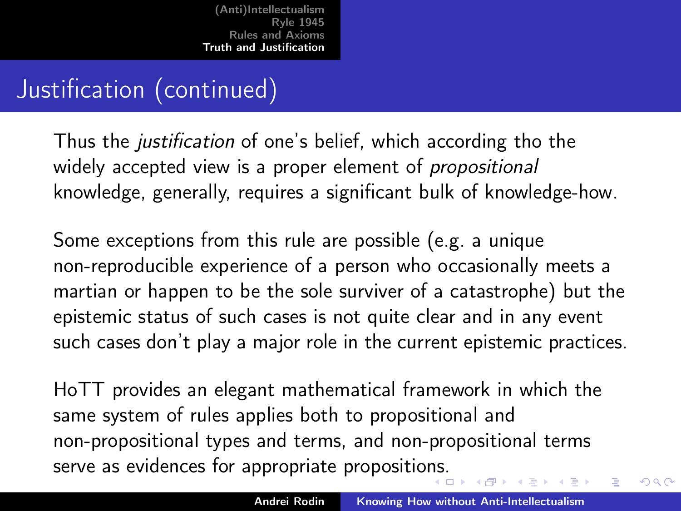# Justification (continued)

Thus the justification of one's belief, which according tho the widely accepted view is a proper element of *propositional* knowledge, generally, requires a significant bulk of knowledge-how.

Some exceptions from this rule are possible (e.g. a unique non-reproducible experience of a person who occasionally meets a martian or happen to be the sole surviver of a catastrophe) but the epistemic status of such cases is not quite clear and in any event such cases don't play a major role in the current epistemic practices.

HoTT provides an elegant mathematical framework in which the same system of rules applies both to propositional and non-propositional types and terms, and non-propositional terms serve as evidences for appropriate propositio[ns.](#page-18-0)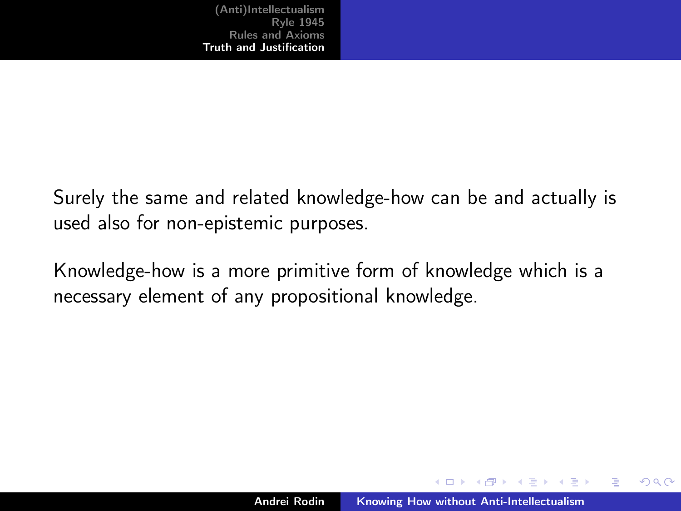Surely the same and related knowledge-how can be and actually is used also for non-epistemic purposes.

Knowledge-how is a more primitive form of knowledge which is a necessary element of any propositional knowledge.

 $-1 - 1$ 

 $4.51 \times 1.71 \times 1.71$ 

 $\Omega$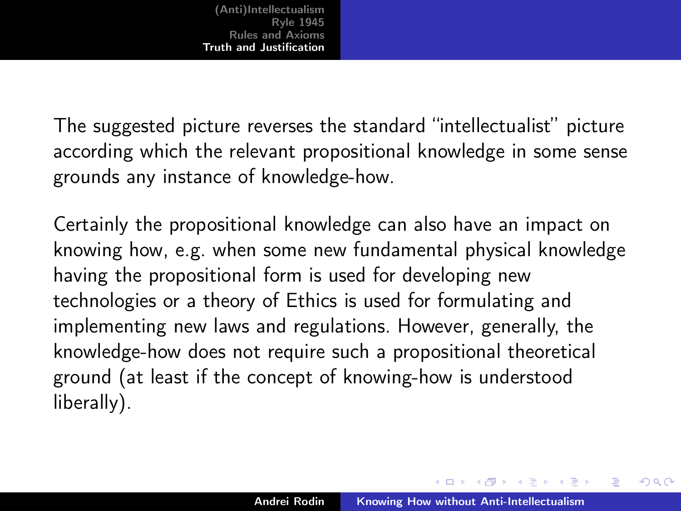The suggested picture reverses the standard "intellectualist" picture according which the relevant propositional knowledge in some sense grounds any instance of knowledge-how.

Certainly the propositional knowledge can also have an impact on knowing how, e.g. when some new fundamental physical knowledge having the propositional form is used for developing new technologies or a theory of Ethics is used for formulating and implementing new laws and regulations. However, generally, the knowledge-how does not require such a propositional theoretical ground (at least if the concept of knowing-how is understood liberally).

イロメ マ母 トラ ミトラ オラメ